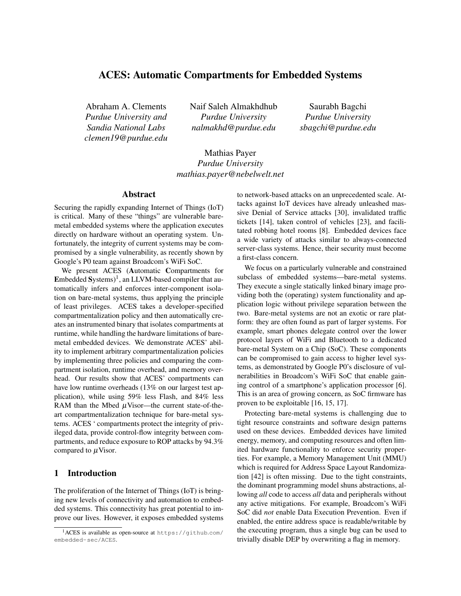# ACES: Automatic Compartments for Embedded Systems

Abraham A. Clements *Purdue University and Sandia National Labs clemen19@purdue.edu* Naif Saleh Almakhdhub *Purdue University nalmakhd@purdue.edu*

Saurabh Bagchi *Purdue University sbagchi@purdue.edu*

Mathias Payer *Purdue University mathias.payer@nebelwelt.net*

# Abstract

Securing the rapidly expanding Internet of Things (IoT) is critical. Many of these "things" are vulnerable baremetal embedded systems where the application executes directly on hardware without an operating system. Unfortunately, the integrity of current systems may be compromised by a single vulnerability, as recently shown by Google's P0 team against Broadcom's WiFi SoC.

We present ACES (Automatic Compartments for Embedded Systems)<sup>[1](#page-0-0)</sup>, an LLVM-based compiler that automatically infers and enforces inter-component isolation on bare-metal systems, thus applying the principle of least privileges. ACES takes a developer-specified compartmentalization policy and then automatically creates an instrumented binary that isolates compartments at runtime, while handling the hardware limitations of baremetal embedded devices. We demonstrate ACES' ability to implement arbitrary compartmentalization policies by implementing three policies and comparing the compartment isolation, runtime overhead, and memory overhead. Our results show that ACES' compartments can have low runtime overheads (13% on our largest test application), while using 59% less Flash, and 84% less RAM than the Mbed  $\mu$ Visor—the current state-of-theart compartmentalization technique for bare-metal systems. ACES ' compartments protect the integrity of privileged data, provide control-flow integrity between compartments, and reduce exposure to ROP attacks by 94.3% compared to  $\mu$ Visor.

# 1 Introduction

The proliferation of the Internet of Things (IoT) is bringing new levels of connectivity and automation to embedded systems. This connectivity has great potential to improve our lives. However, it exposes embedded systems to network-based attacks on an unprecedented scale. Attacks against IoT devices have already unleashed massive Denial of Service attacks [\[30\]](#page-16-0), invalidated traffic tickets [\[14\]](#page-15-0), taken control of vehicles [\[23\]](#page-16-1), and facilitated robbing hotel rooms [\[8\]](#page-15-1). Embedded devices face a wide variety of attacks similar to always-connected server-class systems. Hence, their security must become a first-class concern.

We focus on a particularly vulnerable and constrained subclass of embedded systems—bare-metal systems. They execute a single statically linked binary image providing both the (operating) system functionality and application logic without privilege separation between the two. Bare-metal systems are not an exotic or rare platform: they are often found as part of larger systems. For example, smart phones delegate control over the lower protocol layers of WiFi and Bluetooth to a dedicated bare-metal System on a Chip (SoC). These components can be compromised to gain access to higher level systems, as demonstrated by Google P0's disclosure of vulnerabilities in Broadcom's WiFi SoC that enable gaining control of a smartphone's application processor [\[6\]](#page-15-2). This is an area of growing concern, as SoC firmware has proven to be exploitable [\[16,](#page-15-3) [15,](#page-15-4) [17\]](#page-15-5).

Protecting bare-metal systems is challenging due to tight resource constraints and software design patterns used on these devices. Embedded devices have limited energy, memory, and computing resources and often limited hardware functionality to enforce security properties. For example, a Memory Management Unit (MMU) which is required for Address Space Layout Randomization [\[42\]](#page-17-0) is often missing. Due to the tight constraints, the dominant programming model shuns abstractions, allowing *all* code to access *all* data and peripherals without any active mitigations. For example, Broadcom's WiFi SoC did *not* enable Data Execution Prevention. Even if enabled, the entire address space is readable/writable by the executing program, thus a single bug can be used to trivially disable DEP by overwriting a flag in memory.

<span id="page-0-0"></span><sup>&</sup>lt;sup>1</sup>ACES is available as open-source at [https://github](https://github.com/embedded-sec/ACES).com/ [embedded-sec/ACES](https://github.com/embedded-sec/ACES).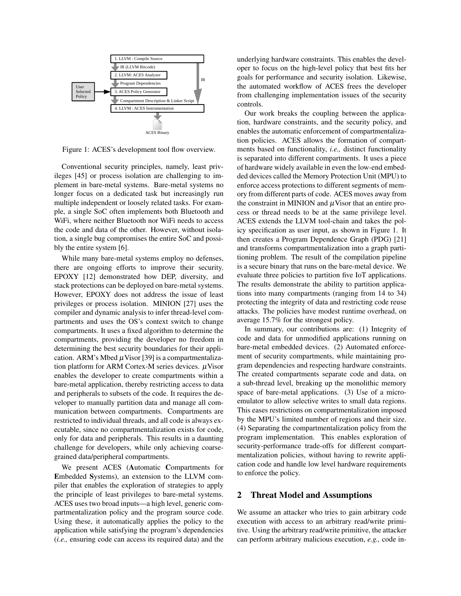

Figure 1: ACES's development tool flow overview.

Conventional security principles, namely, least privileges [\[45\]](#page-17-1) or process isolation are challenging to implement in bare-metal systems. Bare-metal systems no longer focus on a dedicated task but increasingly run multiple independent or loosely related tasks. For example, a single SoC often implements both Bluetooth and WiFi, where neither Bluetooth nor WiFi needs to access the code and data of the other. However, without isolation, a single bug compromises the entire SoC and possibly the entire system [\[6\]](#page-15-2).

While many bare-metal systems employ no defenses, there are ongoing efforts to improve their security. EPOXY [\[12\]](#page-15-6) demonstrated how DEP, diversity, and stack protections can be deployed on bare-metal systems. However, EPOXY does not address the issue of least privileges or process isolation. MINION [\[27\]](#page-16-2) uses the compiler and dynamic analysis to infer thread-level compartments and uses the OS's context switch to change compartments. It uses a fixed algorithm to determine the compartments, providing the developer no freedom in determining the best security boundaries for their application. ARM's Mbed  $\mu$ Visor [\[39\]](#page-16-3) is a compartmentalization platform for ARM Cortex-M series devices.  $\mu$ Visor enables the developer to create compartments within a bare-metal application, thereby restricting access to data and peripherals to subsets of the code. It requires the developer to manually partition data and manage all communication between compartments. Compartments are restricted to individual threads, and all code is always executable, since no compartmentalization exists for code, only for data and peripherals. This results in a daunting challenge for developers, while only achieving coarsegrained data/peripheral compartments.

We present ACES (Automatic Compartments for Embedded Systems), an extension to the LLVM compiler that enables the exploration of strategies to apply the principle of least privileges to bare-metal systems. ACES uses two broad inputs—a high level, generic compartmentalization policy and the program source code. Using these, it automatically applies the policy to the application while satisfying the program's dependencies (*i.e.,* ensuring code can access its required data) and the underlying hardware constraints. This enables the developer to focus on the high-level policy that best fits her goals for performance and security isolation. Likewise, the automated workflow of ACES frees the developer from challenging implementation issues of the security controls.

<span id="page-1-0"></span>Our work breaks the coupling between the application, hardware constraints, and the security policy, and enables the automatic enforcement of compartmentalization policies. ACES allows the formation of compartments based on functionality, *i.e.,* distinct functionality is separated into different compartments. It uses a piece of hardware widely available in even the low-end embedded devices called the Memory Protection Unit (MPU) to enforce access protections to different segments of memory from different parts of code. ACES moves away from the constraint in MINION and  $\mu$ Visor that an entire process or thread needs to be at the same privilege level. ACES extends the LLVM tool-chain and takes the policy specification as user input, as shown in [Figure 1.](#page-1-0) It then creates a Program Dependence Graph (PDG) [\[21\]](#page-16-4) and transforms compartmentalization into a graph partitioning problem. The result of the compilation pipeline is a secure binary that runs on the bare-metal device. We evaluate three policies to partition five IoT applications. The results demonstrate the ability to partition applications into many compartments (ranging from 14 to 34) protecting the integrity of data and restricting code reuse attacks. The policies have modest runtime overhead, on average 15.7% for the strongest policy.

In summary, our contributions are: (1) Integrity of code and data for unmodified applications running on bare-metal embedded devices. (2) Automated enforcement of security compartments, while maintaining program dependencies and respecting hardware constraints. The created compartments separate code and data, on a sub-thread level, breaking up the monolithic memory space of bare-metal applications. (3) Use of a microemulator to allow selective writes to small data regions. This eases restrictions on compartmentalization imposed by the MPU's limited number of regions and their size. (4) Separating the compartmentalization policy from the program implementation. This enables exploration of security-performance trade-offs for different compartmentalization policies, without having to rewrite application code and handle low level hardware requirements to enforce the policy.

#### 2 Threat Model and Assumptions

We assume an attacker who tries to gain arbitrary code execution with access to an arbitrary read/write primitive. Using the arbitrary read/write primitive, the attacker can perform arbitrary malicious execution, *e.g.,* code in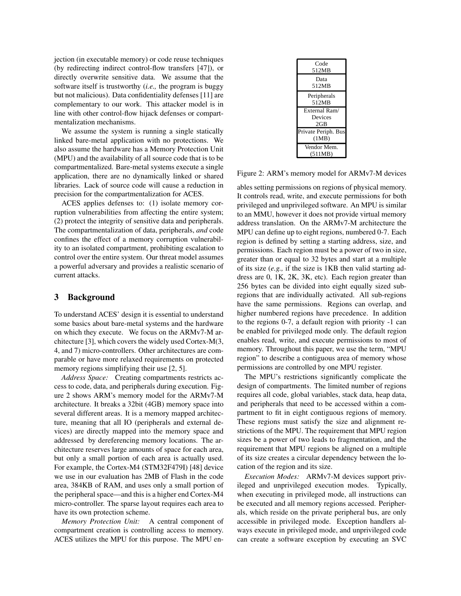jection (in executable memory) or code reuse techniques (by redirecting indirect control-flow transfers [\[47\]](#page-17-2)), or directly overwrite sensitive data. We assume that the software itself is trustworthy (*i.e.,* the program is buggy but not malicious). Data confidentiality defenses [\[11\]](#page-15-7) are complementary to our work. This attacker model is in line with other control-flow hijack defenses or compartmentalization mechanisms.

We assume the system is running a single statically linked bare-metal application with no protections. We also assume the hardware has a Memory Protection Unit (MPU) and the availability of all source code that is to be compartmentalized. Bare-metal systems execute a single application, there are no dynamically linked or shared libraries. Lack of source code will cause a reduction in precision for the compartmentalization for ACES.

ACES applies defenses to: (1) isolate memory corruption vulnerabilities from affecting the entire system; (2) protect the integrity of sensitive data and peripherals. The compartmentalization of data, peripherals, *and* code confines the effect of a memory corruption vulnerability to an isolated compartment, prohibiting escalation to control over the entire system. Our threat model assumes a powerful adversary and provides a realistic scenario of current attacks.

### 3 Background

To understand ACES' design it is essential to understand some basics about bare-metal systems and the hardware on which they execute. We focus on the ARMv7-M architecture [\[3\]](#page-15-8), which covers the widely used Cortex-M(3, 4, and 7) micro-controllers. Other architectures are comparable or have more relaxed requirements on protected memory regions simplifying their use [\[2,](#page-15-9) [5\]](#page-15-10).

*Address Space:* Creating compartments restricts access to code, data, and peripherals during execution. [Fig](#page-2-0)[ure 2](#page-2-0) shows ARM's memory model for the ARMv7-M architecture. It breaks a 32bit (4GB) memory space into several different areas. It is a memory mapped architecture, meaning that all IO (peripherals and external devices) are directly mapped into the memory space and addressed by dereferencing memory locations. The architecture reserves large amounts of space for each area, but only a small portion of each area is actually used. For example, the Cortex-M4 (STM32F479I) [\[48\]](#page-17-3) device we use in our evaluation has 2MB of Flash in the code area, 384KB of RAM, and uses only a small portion of the peripheral space—and this is a higher end Cortex-M4 micro-controller. The sparse layout requires each area to have its own protection scheme.

*Memory Protection Unit:* A central component of compartment creation is controlling access to memory. ACES utilizes the MPU for this purpose. The MPU en-

| Code<br>512MB                          |
|----------------------------------------|
| Data<br>512MB                          |
| Peripherals<br>512MB                   |
| External Ram/<br><b>Devices</b><br>2GB |
| Private Periph. Bus<br>(1MB)           |
| Vendor Mem.<br>(511MB)                 |

<span id="page-2-0"></span>Figure 2: ARM's memory model for ARMv7-M devices

ables setting permissions on regions of physical memory. It controls read, write, and execute permissions for both privileged and unprivileged software. An MPU is similar to an MMU, however it does not provide virtual memory address translation. On the ARMv7-M architecture the MPU can define up to eight regions, numbered 0-7. Each region is defined by setting a starting address, size, and permissions. Each region must be a power of two in size, greater than or equal to 32 bytes and start at a multiple of its size (*e.g.,* if the size is 1KB then valid starting address are 0, 1K, 2K, 3K, etc). Each region greater than 256 bytes can be divided into eight equally sized subregions that are individually activated. All sub-regions have the same permissions. Regions can overlap, and higher numbered regions have precedence. In addition to the regions 0-7, a default region with priority -1 can be enabled for privileged mode only. The default region enables read, write, and execute permissions to most of memory. Throughout this paper, we use the term, "MPU region" to describe a contiguous area of memory whose permissions are controlled by one MPU register.

The MPU's restrictions significantly complicate the design of compartments. The limited number of regions requires all code, global variables, stack data, heap data, and peripherals that need to be accessed within a compartment to fit in eight contiguous regions of memory. These regions must satisfy the size and alignment restrictions of the MPU. The requirement that MPU region sizes be a power of two leads to fragmentation, and the requirement that MPU regions be aligned on a multiple of its size creates a circular dependency between the location of the region and its size.

*Execution Modes:* ARMv7-M devices support privileged and unprivileged execution modes. Typically, when executing in privileged mode, all instructions can be executed and all memory regions accessed. Peripherals, which reside on the private peripheral bus, are only accessible in privileged mode. Exception handlers always execute in privileged mode, and unprivileged code can create a software exception by executing an SVC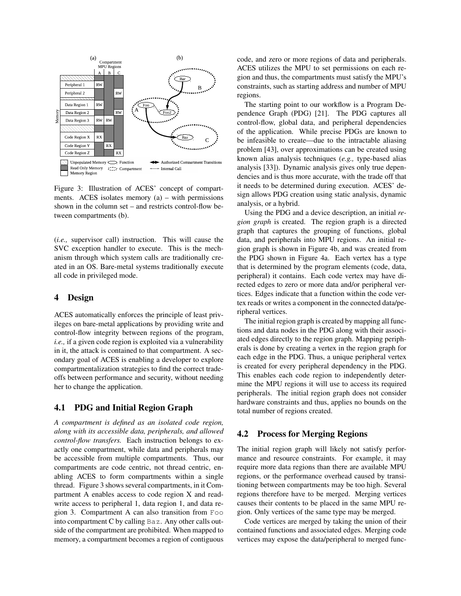

<span id="page-3-0"></span>Figure 3: Illustration of ACES' concept of compartments. ACES isolates memory (a) – with permissions shown in the column set – and restricts control-flow between compartments (b).

(*i.e.,* supervisor call) instruction. This will cause the SVC exception handler to execute. This is the mechanism through which system calls are traditionally created in an OS. Bare-metal systems traditionally execute all code in privileged mode.

### 4 Design

ACES automatically enforces the principle of least privileges on bare-metal applications by providing write and control-flow integrity between regions of the program, *i.e.,* if a given code region is exploited via a vulnerability in it, the attack is contained to that compartment. A secondary goal of ACES is enabling a developer to explore compartmentalization strategies to find the correct tradeoffs between performance and security, without needing her to change the application.

# <span id="page-3-1"></span>4.1 PDG and Initial Region Graph

*A compartment is defined as an isolated code region, along with its accessible data, peripherals, and allowed control-flow transfers.* Each instruction belongs to exactly one compartment, while data and peripherals may be accessible from multiple compartments. Thus, our compartments are code centric, not thread centric, enabling ACES to form compartments within a single thread. [Figure 3](#page-3-0) shows several compartments, in it Compartment A enables access to code region X and readwrite access to peripheral 1, data region 1, and data region 3. Compartment A can also transition from Foo into compartment C by calling Baz. Any other calls outside of the compartment are prohibited. When mapped to memory, a compartment becomes a region of contiguous code, and zero or more regions of data and peripherals. ACES utilizes the MPU to set permissions on each region and thus, the compartments must satisfy the MPU's constraints, such as starting address and number of MPU regions.

The starting point to our workflow is a Program Dependence Graph (PDG) [\[21\]](#page-16-4). The PDG captures all control-flow, global data, and peripheral dependencies of the application. While precise PDGs are known to be infeasible to create—due to the intractable aliasing problem [\[43\]](#page-17-4), over approximations can be created using known alias analysis techniques (*e.g.,* type-based alias analysis [\[33\]](#page-16-5)). Dynamic analysis gives only true dependencies and is thus more accurate, with the trade off that it needs to be determined during execution. ACES' design allows PDG creation using static analysis, dynamic analysis, or a hybrid.

Using the PDG and a device description, an initial *region graph* is created. The region graph is a directed graph that captures the grouping of functions, global data, and peripherals into MPU regions. An initial region graph is shown in [Figure 4b](#page-4-0), and was created from the PDG shown in [Figure 4a](#page-4-0). Each vertex has a type that is determined by the program elements (code, data, peripheral) it contains. Each code vertex may have directed edges to zero or more data and/or peripheral vertices. Edges indicate that a function within the code vertex reads or writes a component in the connected data/peripheral vertices.

The initial region graph is created by mapping all functions and data nodes in the PDG along with their associated edges directly to the region graph. Mapping peripherals is done by creating a vertex in the region graph for each edge in the PDG. Thus, a unique peripheral vertex is created for every peripheral dependency in the PDG. This enables each code region to independently determine the MPU regions it will use to access its required peripherals. The initial region graph does not consider hardware constraints and thus, applies no bounds on the total number of regions created.

#### 4.2 Process for Merging Regions

The initial region graph will likely not satisfy performance and resource constraints. For example, it may require more data regions than there are available MPU regions, or the performance overhead caused by transitioning between compartments may be too high. Several regions therefore have to be merged. Merging vertices causes their contents to be placed in the same MPU region. Only vertices of the same type may be merged.

Code vertices are merged by taking the union of their contained functions and associated edges. Merging code vertices may expose the data/peripheral to merged func-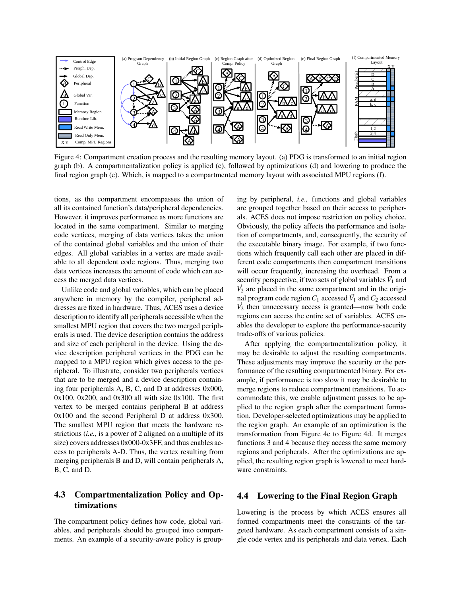

Figure 4: Compartment creation process and the resulting memory layout. (a) PDG is transformed to an initial region graph (b). A compartmentalization policy is applied (c), followed by optimizations (d) and lowering to produce the final region graph (e). Which, is mapped to a compartmented memory layout with associated MPU regions (f).

tions, as the compartment encompasses the union of all its contained function's data/peripheral dependencies. However, it improves performance as more functions are located in the same compartment. Similar to merging code vertices, merging of data vertices takes the union of the contained global variables and the union of their edges. All global variables in a vertex are made available to all dependent code regions. Thus, merging two data vertices increases the amount of code which can access the merged data vertices.

Unlike code and global variables, which can be placed anywhere in memory by the compiler, peripheral addresses are fixed in hardware. Thus, ACES uses a device description to identify all peripherals accessible when the smallest MPU region that covers the two merged peripherals is used. The device description contains the address and size of each peripheral in the device. Using the device description peripheral vertices in the PDG can be mapped to a MPU region which gives access to the peripheral. To illustrate, consider two peripherals vertices that are to be merged and a device description containing four peripherals A, B, C, and D at addresses 0x000, 0x100, 0x200, and 0x300 all with size 0x100. The first vertex to be merged contains peripheral B at address 0x100 and the second Peripheral D at address 0x300. The smallest MPU region that meets the hardware restrictions (*i.e.,* is a power of 2 aligned on a multiple of its size) covers addresses 0x000-0x3FF, and thus enables access to peripherals A-D. Thus, the vertex resulting from merging peripherals B and D, will contain peripherals A, B, C, and D.

# 4.3 Compartmentalization Policy and Optimizations

The compartment policy defines how code, global variables, and peripherals should be grouped into compartments. An example of a security-aware policy is group<span id="page-4-0"></span>ing by peripheral, *i.e.,* functions and global variables are grouped together based on their access to peripherals. ACES does not impose restriction on policy choice. Obviously, the policy affects the performance and isolation of compartments, and, consequently, the security of the executable binary image. For example, if two functions which frequently call each other are placed in different code compartments then compartment transitions will occur frequently, increasing the overhead. From a security perspective, if two sets of global variables  $V_1$  and  $\vec{V}_2$  are placed in the same compartment and in the original program code region  $C_1$  accessed  $\vec{V}_1$  and  $C_2$  accessed  $V_2$  then unnecessary access is granted—now both code regions can access the entire set of variables. ACES enables the developer to explore the performance-security trade-offs of various policies.

After applying the compartmentalization policy, it may be desirable to adjust the resulting compartments. These adjustments may improve the security or the performance of the resulting compartmented binary. For example, if performance is too slow it may be desirable to merge regions to reduce compartment transitions. To accommodate this, we enable adjustment passes to be applied to the region graph after the compartment formation. Developer-selected optimizations may be applied to the region graph. An example of an optimization is the transformation from [Figure 4c](#page-4-0) to [Figure 4d](#page-4-0). It merges functions 3 and 4 because they access the same memory regions and peripherals. After the optimizations are applied, the resulting region graph is lowered to meet hardware constraints.

## 4.4 Lowering to the Final Region Graph

Lowering is the process by which ACES ensures all formed compartments meet the constraints of the targeted hardware. As each compartment consists of a single code vertex and its peripherals and data vertex. Each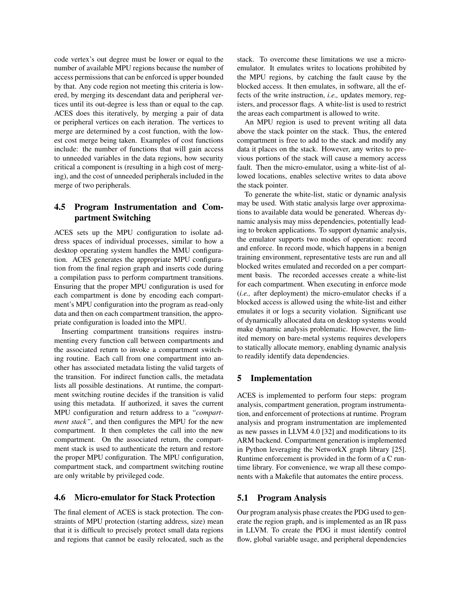code vertex's out degree must be lower or equal to the number of available MPU regions because the number of access permissions that can be enforced is upper bounded by that. Any code region not meeting this criteria is lowered, by merging its descendant data and peripheral vertices until its out-degree is less than or equal to the cap. ACES does this iteratively, by merging a pair of data or peripheral vertices on each iteration. The vertices to merge are determined by a cost function, with the lowest cost merge being taken. Examples of cost functions include: the number of functions that will gain access to unneeded variables in the data regions, how security critical a component is (resulting in a high cost of merging), and the cost of unneeded peripherals included in the merge of two peripherals.

# 4.5 Program Instrumentation and Compartment Switching

ACES sets up the MPU configuration to isolate address spaces of individual processes, similar to how a desktop operating system handles the MMU configuration. ACES generates the appropriate MPU configuration from the final region graph and inserts code during a compilation pass to perform compartment transitions. Ensuring that the proper MPU configuration is used for each compartment is done by encoding each compartment's MPU configuration into the program as read-only data and then on each compartment transition, the appropriate configuration is loaded into the MPU.

Inserting compartment transitions requires instrumenting every function call between compartments and the associated return to invoke a compartment switching routine. Each call from one compartment into another has associated metadata listing the valid targets of the transition. For indirect function calls, the metadata lists all possible destinations. At runtime, the compartment switching routine decides if the transition is valid using this metadata. If authorized, it saves the current MPU configuration and return address to a *"compartment stack"*, and then configures the MPU for the new compartment. It then completes the call into the new compartment. On the associated return, the compartment stack is used to authenticate the return and restore the proper MPU configuration. The MPU configuration, compartment stack, and compartment switching routine are only writable by privileged code.

## <span id="page-5-0"></span>4.6 Micro-emulator for Stack Protection

The final element of ACES is stack protection. The constraints of MPU protection (starting address, size) mean that it is difficult to precisely protect small data regions and regions that cannot be easily relocated, such as the stack. To overcome these limitations we use a microemulator. It emulates writes to locations prohibited by the MPU regions, by catching the fault cause by the blocked access. It then emulates, in software, all the effects of the write instruction, *i.e.,* updates memory, registers, and processor flags. A white-list is used to restrict the areas each compartment is allowed to write.

An MPU region is used to prevent writing all data above the stack pointer on the stack. Thus, the entered compartment is free to add to the stack and modify any data it places on the stack. However, any writes to previous portions of the stack will cause a memory access fault. Then the micro-emulator, using a white-list of allowed locations, enables selective writes to data above the stack pointer.

To generate the white-list, static or dynamic analysis may be used. With static analysis large over approximations to available data would be generated. Whereas dynamic analysis may miss dependencies, potentially leading to broken applications. To support dynamic analysis, the emulator supports two modes of operation: record and enforce. In record mode, which happens in a benign training environment, representative tests are run and all blocked writes emulated and recorded on a per compartment basis. The recorded accesses create a white-list for each compartment. When executing in enforce mode (*i.e.,* after deployment) the micro-emulator checks if a blocked access is allowed using the white-list and either emulates it or logs a security violation. Significant use of dynamically allocated data on desktop systems would make dynamic analysis problematic. However, the limited memory on bare-metal systems requires developers to statically allocate memory, enabling dynamic analysis to readily identify data dependencies.

# 5 Implementation

ACES is implemented to perform four steps: program analysis, compartment generation, program instrumentation, and enforcement of protections at runtime. Program analysis and program instrumentation are implemented as new passes in LLVM 4.0 [\[32\]](#page-16-6) and modifications to its ARM backend. Compartment generation is implemented in Python leveraging the NetworkX graph library [\[25\]](#page-16-7). Runtime enforcement is provided in the form of a C runtime library. For convenience, we wrap all these components with a Makefile that automates the entire process.

#### 5.1 Program Analysis

Our program analysis phase creates the PDG used to generate the region graph, and is implemented as an IR pass in LLVM. To create the PDG it must identify control flow, global variable usage, and peripheral dependencies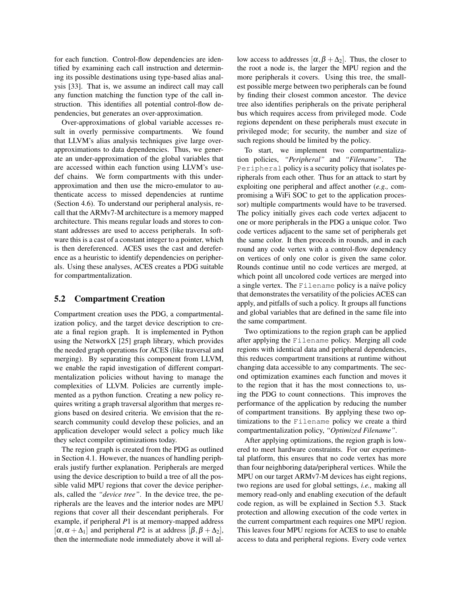for each function. Control-flow dependencies are identified by examining each call instruction and determining its possible destinations using type-based alias analysis [\[33\]](#page-16-5). That is, we assume an indirect call may call any function matching the function type of the call instruction. This identifies all potential control-flow dependencies, but generates an over-approximation.

Over-approximations of global variable accesses result in overly permissive compartments. We found that LLVM's alias analysis techniques give large overapproximations to data dependencies. Thus, we generate an under-approximation of the global variables that are accessed within each function using LLVM's usedef chains. We form compartments with this underapproximation and then use the micro-emulator to authenticate access to missed dependencies at runtime [\(Section 4.6\)](#page-5-0). To understand our peripheral analysis, recall that the ARMv7-M architecture is a memory mapped architecture. This means regular loads and stores to constant addresses are used to access peripherals. In software this is a cast of a constant integer to a pointer, which is then dereferenced. ACES uses the cast and dereference as a heuristic to identify dependencies on peripherals. Using these analyses, ACES creates a PDG suitable for compartmentalization.

## 5.2 Compartment Creation

Compartment creation uses the PDG, a compartmentalization policy, and the target device description to create a final region graph. It is implemented in Python using the NetworkX [\[25\]](#page-16-7) graph library, which provides the needed graph operations for ACES (like traversal and merging). By separating this component from LLVM, we enable the rapid investigation of different compartmentalization policies without having to manage the complexities of LLVM. Policies are currently implemented as a python function. Creating a new policy requires writing a graph traversal algorithm that merges regions based on desired criteria. We envision that the research community could develop these policies, and an application developer would select a policy much like they select compiler optimizations today.

The region graph is created from the PDG as outlined in [Section 4.1.](#page-3-1) However, the nuances of handling peripherals justify further explanation. Peripherals are merged using the device description to build a tree of all the possible valid MPU regions that cover the device peripherals, called the *"device tree"*. In the device tree, the peripherals are the leaves and the interior nodes are MPU regions that cover all their descendant peripherals. For example, if peripheral *P*1 is at memory-mapped address  $[\alpha, \alpha + \Delta_1]$  and peripheral *P*2 is at address  $[\beta, \beta + \Delta_2]$ , then the intermediate node immediately above it will allow access to addresses  $[\alpha, \beta + \Delta_2]$ . Thus, the closer to the root a node is, the larger the MPU region and the more peripherals it covers. Using this tree, the smallest possible merge between two peripherals can be found by finding their closest common ancestor. The device tree also identifies peripherals on the private peripheral bus which requires access from privileged mode. Code regions dependent on these peripherals must execute in privileged mode; for security, the number and size of such regions should be limited by the policy.

To start, we implement two compartmentalization policies, *"Peripheral"* and *"Filename"*. The Peripheral policy is a security policy that isolates peripherals from each other. Thus for an attack to start by exploiting one peripheral and affect another (*e.g.,* compromising a WiFi SOC to get to the application processor) multiple compartments would have to be traversed. The policy initially gives each code vertex adjacent to one or more peripherals in the PDG a unique color. Two code vertices adjacent to the same set of peripherals get the same color. It then proceeds in rounds, and in each round any code vertex with a control-flow dependency on vertices of only one color is given the same color. Rounds continue until no code vertices are merged, at which point all uncolored code vertices are merged into a single vertex. The Filename policy is a naïve policy that demonstrates the versatility of the policies ACES can apply, and pitfalls of such a policy. It groups all functions and global variables that are defined in the same file into the same compartment.

Two optimizations to the region graph can be applied after applying the Filename policy. Merging all code regions with identical data and peripheral dependencies, this reduces compartment transitions at runtime without changing data accessible to any compartments. The second optimization examines each function and moves it to the region that it has the most connections to, using the PDG to count connections. This improves the performance of the application by reducing the number of compartment transitions. By applying these two optimizations to the Filename policy we create a third compartmentalization policy, *"Optimized Filename"*.

After applying optimizations, the region graph is lowered to meet hardware constraints. For our experimental platform, this ensures that no code vertex has more than four neighboring data/peripheral vertices. While the MPU on our target ARMv7-M devices has eight regions, two regions are used for global settings, *i.e.,* making all memory read-only and enabling execution of the default code region, as will be explained in [Section 5.3.](#page-7-0) Stack protection and allowing execution of the code vertex in the current compartment each requires one MPU region. This leaves four MPU regions for ACES to use to enable access to data and peripheral regions. Every code vertex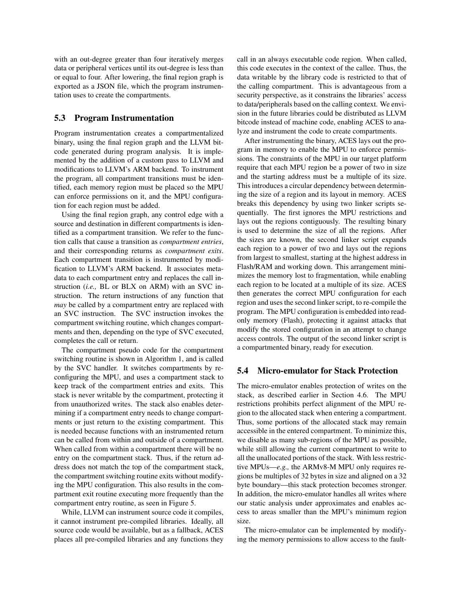with an out-degree greater than four iteratively merges data or peripheral vertices until its out-degree is less than or equal to four. After lowering, the final region graph is exported as a JSON file, which the program instrumentation uses to create the compartments.

### <span id="page-7-0"></span>5.3 Program Instrumentation

Program instrumentation creates a compartmentalized binary, using the final region graph and the LLVM bitcode generated during program analysis. It is implemented by the addition of a custom pass to LLVM and modifications to LLVM's ARM backend. To instrument the program, all compartment transitions must be identified, each memory region must be placed so the MPU can enforce permissions on it, and the MPU configuration for each region must be added.

Using the final region graph, any control edge with a source and destination in different compartments is identified as a compartment transition. We refer to the function calls that cause a transition as *compartment entries*, and their corresponding returns as *compartment exits*. Each compartment transition is instrumented by modification to LLVM's ARM backend. It associates metadata to each compartment entry and replaces the call instruction (*i.e.,* BL or BLX on ARM) with an SVC instruction. The return instructions of any function that *may* be called by a compartment entry are replaced with an SVC instruction. The SVC instruction invokes the compartment switching routine, which changes compartments and then, depending on the type of SVC executed, completes the call or return.

The compartment pseudo code for the compartment switching routine is shown in [Algorithm 1,](#page-8-0) and is called by the SVC handler. It switches compartments by reconfiguring the MPU, and uses a compartment stack to keep track of the compartment entries and exits. This stack is never writable by the compartment, protecting it from unauthorized writes. The stack also enables determining if a compartment entry needs to change compartments or just return to the existing compartment. This is needed because functions with an instrumented return can be called from within and outside of a compartment. When called from within a compartment there will be no entry on the compartment stack. Thus, if the return address does not match the top of the compartment stack, the compartment switching routine exits without modifying the MPU configuration. This also results in the compartment exit routine executing more frequently than the compartment entry routine, as seen in [Figure 5.](#page-11-0)

While, LLVM can instrument source code it compiles, it cannot instrument pre-compiled libraries. Ideally, all source code would be available, but as a fallback, ACES places all pre-compiled libraries and any functions they call in an always executable code region. When called, this code executes in the context of the callee. Thus, the data writable by the library code is restricted to that of the calling compartment. This is advantageous from a security perspective, as it constrains the libraries' access to data/peripherals based on the calling context. We envision in the future libraries could be distributed as LLVM bitcode instead of machine code, enabling ACES to analyze and instrument the code to create compartments.

After instrumenting the binary, ACES lays out the program in memory to enable the MPU to enforce permissions. The constraints of the MPU in our target platform require that each MPU region be a power of two in size and the starting address must be a multiple of its size. This introduces a circular dependency between determining the size of a region and its layout in memory. ACES breaks this dependency by using two linker scripts sequentially. The first ignores the MPU restrictions and lays out the regions contiguously. The resulting binary is used to determine the size of all the regions. After the sizes are known, the second linker script expands each region to a power of two and lays out the regions from largest to smallest, starting at the highest address in Flash/RAM and working down. This arrangement minimizes the memory lost to fragmentation, while enabling each region to be located at a multiple of its size. ACES then generates the correct MPU configuration for each region and uses the second linker script, to re-compile the program. The MPU configuration is embedded into readonly memory (Flash), protecting it against attacks that modify the stored configuration in an attempt to change access controls. The output of the second linker script is a compartmented binary, ready for execution.

#### 5.4 Micro-emulator for Stack Protection

The micro-emulator enables protection of writes on the stack, as described earlier in [Section 4.6.](#page-5-0) The MPU restrictions prohibits perfect alignment of the MPU region to the allocated stack when entering a compartment. Thus, some portions of the allocated stack may remain accessible in the entered compartment. To minimize this, we disable as many sub-regions of the MPU as possible, while still allowing the current compartment to write to all the unallocated portions of the stack. With less restrictive MPUs—*e.g.,* the ARMv8-M MPU only requires regions be multiples of 32 bytes in size and aligned on a 32 byte boundary—this stack protection becomes stronger. In addition, the micro-emulator handles all writes where our static analysis under approximates and enables access to areas smaller than the MPU's minimum region size.

The micro-emulator can be implemented by modifying the memory permissions to allow access to the fault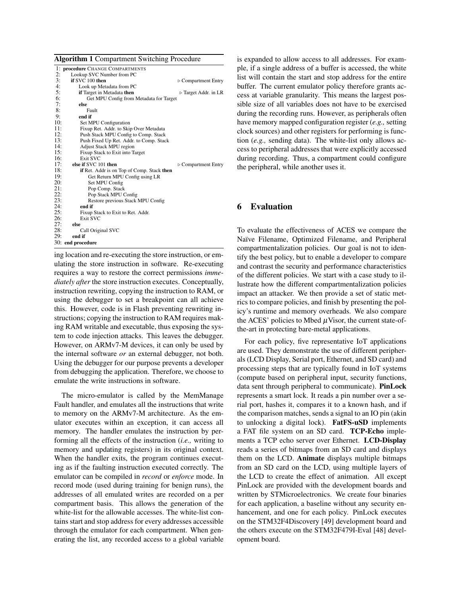Algorithm 1 Compartment Switching Procedure

<span id="page-8-0"></span>

|     | 1: procedure CHANGE COMPARTMENTS           |                                     |
|-----|--------------------------------------------|-------------------------------------|
| 2:  | Lookup SVC Number from PC                  |                                     |
| 3:  | if SVC 100 then                            | $\triangleright$ Compartment Entry  |
| 4:  | Look up Metadata from PC                   |                                     |
| 5:  | if Target in Metadata then                 | $\triangleright$ Target Addr. in LR |
| 6:  | Get MPU Config from Metadata for Target    |                                     |
| 7:  | else                                       |                                     |
| 8:  | Fault                                      |                                     |
| 9:  | end if                                     |                                     |
| 10: | Set MPU Configuration                      |                                     |
| 11: | Fixup Ret. Addr. to Skip Over Metadata     |                                     |
| 12: | Push Stack MPU Config to Comp. Stack       |                                     |
| 13: | Push Fixed Up Ret. Addr. to Comp. Stack    |                                     |
| 14: | <b>Adjust Stack MPU region</b>             |                                     |
| 15: | Fixup Stack to Exit into Target            |                                     |
| 16: | Exit SVC                                   |                                     |
| 17: | else if SVC 101 then                       | $\triangleright$ Compartment Entry  |
| 18: | if Ret. Addr is on Top of Comp. Stack then |                                     |
| 19: | Get Return MPU Config using LR             |                                     |
| 20: | Set MPU Config                             |                                     |
| 21: | Pop Comp. Stack                            |                                     |
| 22: | Pop Stack MPU Config                       |                                     |
| 23: | Restore previous Stack MPU Config          |                                     |
| 24: | end if                                     |                                     |
| 25: | Fixup Stack to Exit to Ret. Addr.          |                                     |
| 26: | Exit SVC                                   |                                     |
| 27: | else                                       |                                     |
| 28: | Call Original SVC                          |                                     |
| 29: | end if                                     |                                     |
|     | 30: end procedure                          |                                     |

ing location and re-executing the store instruction, or emulating the store instruction in software. Re-executing requires a way to restore the correct permissions *immediately after* the store instruction executes. Conceptually, instruction rewriting, copying the instruction to RAM, or using the debugger to set a breakpoint can all achieve this. However, code is in Flash preventing rewriting instructions; copying the instruction to RAM requires making RAM writable and executable, thus exposing the system to code injection attacks. This leaves the debugger. However, on ARMv7-M devices, it can only be used by the internal software *or* an external debugger, not both. Using the debugger for our purpose prevents a developer from debugging the application. Therefore, we choose to emulate the write instructions in software.

The micro-emulator is called by the MemManage Fault handler, and emulates all the instructions that write to memory on the ARMv7-M architecture. As the emulator executes within an exception, it can access all memory. The handler emulates the instruction by performing all the effects of the instruction (*i.e.,* writing to memory and updating registers) in its original context. When the handler exits, the program continues executing as if the faulting instruction executed correctly. The emulator can be compiled in *record* or *enforce* mode. In record mode (used during training for benign runs), the addresses of all emulated writes are recorded on a per compartment basis. This allows the generation of the white-list for the allowable accesses. The white-list contains start and stop address for every addresses accessible through the emulator for each compartment. When generating the list, any recorded access to a global variable is expanded to allow access to all addresses. For example, if a single address of a buffer is accessed, the white list will contain the start and stop address for the entire buffer. The current emulator policy therefore grants access at variable granularity. This means the largest possible size of all variables does not have to be exercised during the recording runs. However, as peripherals often have memory mapped configuration register (*e.g.,* setting clock sources) and other registers for performing is function (*e.g.,* sending data). The white-list only allows access to peripheral addresses that were explicitly accessed during recording. Thus, a compartment could configure the peripheral, while another uses it.

# 6 Evaluation

To evaluate the effectiveness of ACES we compare the Naïve Filename, Optimized Filename, and Peripheral compartmentalization policies. Our goal is not to identify the best policy, but to enable a developer to compare and contrast the security and performance characteristics of the different policies. We start with a case study to illustrate how the different compartmentalization policies impact an attacker. We then provide a set of static metrics to compare policies, and finish by presenting the policy's runtime and memory overheads. We also compare the ACES' policies to Mbed  $\mu$ Visor, the current state-ofthe-art in protecting bare-metal applications.

For each policy, five representative IoT applications are used. They demonstrate the use of different peripherals (LCD Display, Serial port, Ethernet, and SD card) and processing steps that are typically found in IoT systems (compute based on peripheral input, security functions, data sent through peripheral to communicate). PinLock represents a smart lock. It reads a pin number over a serial port, hashes it, compares it to a known hash, and if the comparison matches, sends a signal to an IO pin (akin to unlocking a digital lock). FatFS-uSD implements a FAT file system on an SD card. TCP-Echo implements a TCP echo server over Ethernet. LCD-Display reads a series of bitmaps from an SD card and displays them on the LCD. Animate displays multiple bitmaps from an SD card on the LCD, using multiple layers of the LCD to create the effect of animation. All except PinLock are provided with the development boards and written by STMicroelectronics. We create four binaries for each application, a baseline without any security enhancement, and one for each policy. PinLock executes on the STM32F4Discovery [\[49\]](#page-17-5) development board and the others execute on the STM32F479I-Eval [\[48\]](#page-17-3) development board.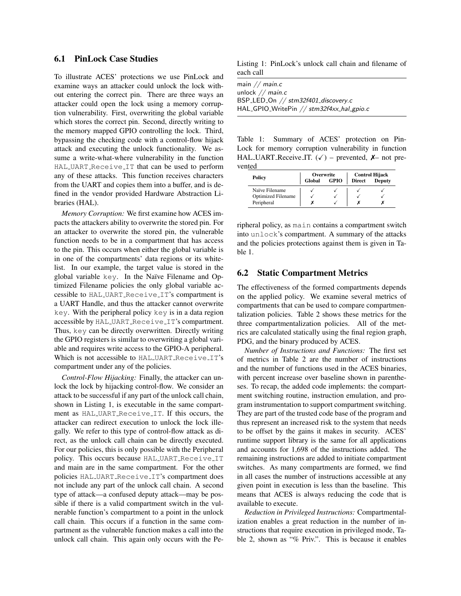# 6.1 PinLock Case Studies

To illustrate ACES' protections we use PinLock and examine ways an attacker could unlock the lock without entering the correct pin. There are three ways an attacker could open the lock using a memory corruption vulnerability. First, overwriting the global variable which stores the correct pin. Second, directly writing to the memory mapped GPIO controlling the lock. Third, bypassing the checking code with a control-flow hijack attack and executing the unlock functionality. We assume a write-what-where vulnerability in the function HAL UART Receive IT that can be used to perform any of these attacks. This function receives characters from the UART and copies them into a buffer, and is defined in the vendor provided Hardware Abstraction Libraries (HAL).

*Memory Corruption:* We first examine how ACES impacts the attackers ability to overwrite the stored pin. For an attacker to overwrite the stored pin, the vulnerable function needs to be in a compartment that has access to the pin. This occurs when either the global variable is in one of the compartments' data regions or its whitelist. In our example, the target value is stored in the global variable key. In the Naïve Filename and Optimized Filename policies the only global variable accessible to HAL\_UART\_Receive\_IT's compartment is a UART Handle, and thus the attacker cannot overwrite key. With the peripheral policy key is in a data region accessible by HAL\_UART\_Receive\_IT's compartment. Thus, key can be directly overwritten. Directly writing the GPIO registers is similar to overwriting a global variable and requires write access to the GPIO-A peripheral. Which is not accessible to HAL\_UART\_Receive\_IT's compartment under any of the policies.

*Control-Flow Hijacking:* Finally, the attacker can unlock the lock by hijacking control-flow. We consider an attack to be successful if any part of the unlock call chain, shown in Listing [1,](#page-9-0) is executable in the same compartment as HAL UART Receive IT. If this occurs, the attacker can redirect execution to unlock the lock illegally. We refer to this type of control-flow attack as direct, as the unlock call chain can be directly executed. For our policies, this is only possible with the Peripheral policy. This occurs because HAL UART Receive IT and main are in the same compartment. For the other policies HAL UART Receive IT's compartment does not include any part of the unlock call chain. A second type of attack—a confused deputy attack—may be possible if there is a valid compartment switch in the vulnerable function's compartment to a point in the unlock call chain. This occurs if a function in the same compartment as the vulnerable function makes a call into the unlock call chain. This again only occurs with the Pe-

<span id="page-9-0"></span>Listing 1: PinLock's unlock call chain and filename of each call

| main // $main.c$                          |
|-------------------------------------------|
| unlock $//$ main.c                        |
| BSP_LED_On // stm32f401_discovery.c       |
| HAL_GPIO_WritePin // stm32f4xx_hal_gpio.c |
|                                           |

<span id="page-9-1"></span>Table 1: Summary of ACES' protection on Pin-Lock for memory corruption vulnerability in function HAL UART Receive IT.  $(\checkmark)$  – prevented,  $\mathcal{X}$ – not prevented

|                           | Overwrite |             | <b>Control Hijack</b> |               |  |
|---------------------------|-----------|-------------|-----------------------|---------------|--|
| Policy                    | Global    | <b>GPIO</b> | <b>Direct</b>         | <b>Deputy</b> |  |
| Naïve Filename            |           |             |                       |               |  |
| <b>Optimized Filename</b> |           |             |                       |               |  |
| Peripheral                |           |             |                       |               |  |

ripheral policy, as main contains a compartment switch into unlock's compartment. A summary of the attacks and the policies protections against them is given in [Ta](#page-9-1)[ble 1.](#page-9-1)

### 6.2 Static Compartment Metrics

The effectiveness of the formed compartments depends on the applied policy. We examine several metrics of compartments that can be used to compare compartmentalization policies. [Table 2](#page-10-0) shows these metrics for the three compartmentalization policies. All of the metrics are calculated statically using the final region graph, PDG, and the binary produced by ACES.

*Number of Instructions and Functions:* The first set of metrics in [Table 2](#page-10-0) are the number of instructions and the number of functions used in the ACES binaries, with percent increase over baseline shown in parentheses. To recap, the added code implements: the compartment switching routine, instruction emulation, and program instrumentation to support compartment switching. They are part of the trusted code base of the program and thus represent an increased risk to the system that needs to be offset by the gains it makes in security. ACES' runtime support library is the same for all applications and accounts for 1,698 of the instructions added. The remaining instructions are added to initiate compartment switches. As many compartments are formed, we find in all cases the number of instructions accessible at any given point in execution is less than the baseline. This means that ACES is always reducing the code that is available to execute.

*Reduction in Privileged Instructions:* Compartmentalization enables a great reduction in the number of instructions that require execution in privileged mode, [Ta](#page-10-0)[ble 2,](#page-10-0) shown as "% Priv.". This is because it enables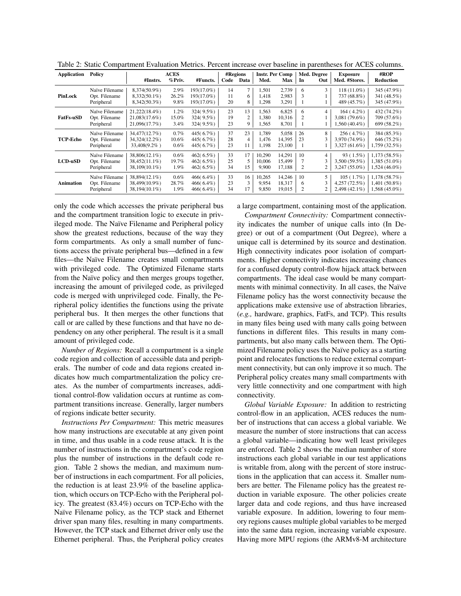| <b>Application</b> | Policy                                        | #Instrs.                                           | <b>ACES</b><br>%Priv.    | #Functs.                                  | Code           | #Regions<br>Data | Med.                      | <b>Instr. Per Comp</b><br>Max | In           | Med. Degree<br>Out       | <b>Exposure</b><br>Med. #Stores.                 | #ROP<br><b>Reduction</b>                           |
|--------------------|-----------------------------------------------|----------------------------------------------------|--------------------------|-------------------------------------------|----------------|------------------|---------------------------|-------------------------------|--------------|--------------------------|--------------------------------------------------|----------------------------------------------------|
| PinLock            | Naïve Filename<br>Opt. Filename<br>Peripheral | 8,374(50.9%)<br>$8,332(50.1\%)$<br>$8,342(50.3\%)$ | 2.9%<br>26.2%<br>9.8%    | 193(17.0%)<br>193(17.0%)<br>193(17.0%)    | 14<br>11<br>20 | 6<br>8           | 1,501<br>1.418<br>1,298   | 2,739<br>2.983<br>3,291       | 6            | 3                        | $118(11.0\%)$<br>737 (68.8%)<br>489 (45.7%)      | 345 (47.9%)<br>341 (48.5%)<br>345 (47.9%)          |
| <b>FatFs-uSD</b>   | Naïve Filename<br>Opt. Filename<br>Peripheral | 21,222(18.4%)<br>21.083(17.6%)<br>21,096(17.7%)    | 1.2%<br>15.0%<br>3.4%    | 324(9.5%)<br>$324(9.5\%)$<br>$324(9.5\%)$ | 23<br>19<br>23 | 13<br>2<br>9     | 1,563<br>1.380<br>1,565   | 6,825<br>10.316<br>8,701      | 6<br>2       | $\overline{4}$           | $164(4.2\%)$<br>3.081 (79.6%)<br>$1,560(40.4\%)$ | 432 (74.2%)<br>709 (57.6%)<br>699 (58.2%)          |
| <b>TCP-Echo</b>    | Naïve Filename<br>Opt. Filename<br>Peripheral | 34,477(12.7%)<br>34,324(12.2%)<br>33,408(9.2%)     | 0.7%<br>10.6%<br>$0.6\%$ | 445(6.7%)<br>445(6.7%)<br>445(6.7%)       | 37<br>28<br>23 | 23<br>4<br>11    | 1.789<br>1.476<br>1,198   | 5.058<br>14.395<br>23,100     | 26<br>23     | 8<br>3                   | 256(4.7%)<br>3.970 (74.9%)<br>3,327 (61.6%)      | 384 (85.3%)<br>646 (75.2%)<br>$1,759(32.5\%)$      |
| $LCD\text{-}uSD$   | Naïve Filename<br>Opt. Filename<br>Peripheral | 38,806(12.1%)<br>38,452(11.1%)<br>38,109(10.1%)    | 0.6%<br>19.7%<br>1.9%    | 462(6.5%)<br>462(6.5%)<br>462 $(6.5\%)$   | 33<br>25<br>34 | 17<br>5<br>15    | 10,290<br>10,006<br>9,900 | 14,291<br>15.499<br>17,188    | 10<br>2      | $\overline{4}$<br>3<br>2 | 93 (1.5%)<br>3,500 (59.5%)<br>3,247 (55.0%)      | 1,173(58.5%)<br>$1,385(51.0\%)$<br>$1,524(46.0\%)$ |
| <b>Animation</b>   | Naïve Filename<br>Opt. Filename<br>Peripheral | 38,894(12.1%)<br>38.499(10.9%)<br>38,194(10.1%)    | 0.6%<br>28.7%<br>1.9%    | 466(6.4%)<br>$466(6.4\%)$<br>$466(6.4\%)$ | 33<br>23<br>34 | 16<br>3<br>17    | 10.265<br>9.954<br>9,850  | 14.246<br>18,317<br>19,015    | 10<br>6<br>2 | 5<br>3<br>2              | 105(1.7%)<br>4.257 (72.5%)<br>$2,498(42.1\%)$    | 1.178(58.7%)<br>$1,401(50.8\%)$<br>$1,568(45.0\%)$ |

<span id="page-10-0"></span>Table 2: Static Compartment Evaluation Metrics. Percent increase over baseline in parentheses for ACES columns.

only the code which accesses the private peripheral bus and the compartment transition logic to execute in privileged mode. The Naïve Filename and Peripheral policy show the greatest reductions, because of the way they form compartments. As only a small number of functions access the private peripheral bus—defined in a few files—the Naïve Filename creates small compartments with privileged code. The Optimized Filename starts from the Naïve policy and then merges groups together, increasing the amount of privileged code, as privileged code is merged with unprivileged code. Finally, the Peripheral policy identifies the functions using the private peripheral bus. It then merges the other functions that call or are called by these functions and that have no dependency on any other peripheral. The result is it a small amount of privileged code.

*Number of Regions:* Recall a compartment is a single code region and collection of accessible data and peripherals. The number of code and data regions created indicates how much compartmentalization the policy creates. As the number of compartments increases, additional control-flow validation occurs at runtime as compartment transitions increase. Generally, larger numbers of regions indicate better security.

*Instructions Per Compartment:* This metric measures how many instructions are executable at any given point in time, and thus usable in a code reuse attack. It is the number of instructions in the compartment's code region plus the number of instructions in the default code region. [Table 2](#page-10-0) shows the median, and maximum number of instructions in each compartment. For all policies, the reduction is at least 23.9% of the baseline application, which occurs on TCP-Echo with the Peripheral policy. The greatest (83.4%) occurs on TCP-Echo with the Naïve Filename policy, as the TCP stack and Ethernet driver span many files, resulting in many compartments. However, the TCP stack and Ethernet driver only use the Ethernet peripheral. Thus, the Peripheral policy creates a large compartment, containing most of the application.

*Compartment Connectivity:* Compartment connectivity indicates the number of unique calls into (In Degree) or out of a compartment (Out Degree), where a unique call is determined by its source and destination. High connectivity indicates poor isolation of compartments. Higher connectivity indicates increasing chances for a confused deputy control-flow hijack attack between compartments. The ideal case would be many compartments with minimal connectivity. In all cases, the Naïve Filename policy has the worst connectivity because the applications make extensive use of abstraction libraries, (*e.g.,* hardware, graphics, FatFs, and TCP). This results in many files being used with many calls going between functions in different files. This results in many compartments, but also many calls between them. The Optimized Filename policy uses the Naïve policy as a starting point and relocates functions to reduce external compartment connectivity, but can only improve it so much. The Peripheral policy creates many small compartments with very little connectivity and one compartment with high connectivity.

*Global Variable Exposure:* In addition to restricting control-flow in an application, ACES reduces the number of instructions that can access a global variable. We measure the number of store instructions that can access a global variable—indicating how well least privileges are enforced. [Table 2](#page-10-0) shows the median number of store instructions each global variable in our test applications is writable from, along with the percent of store instructions in the application that can access it. Smaller numbers are better. The Filename policy has the greatest reduction in variable exposure. The other policies create larger data and code regions, and thus have increased variable exposure. In addition, lowering to four memory regions causes multiple global variables to be merged into the same data region, increasing variable exposure. Having more MPU regions (the ARMv8-M architecture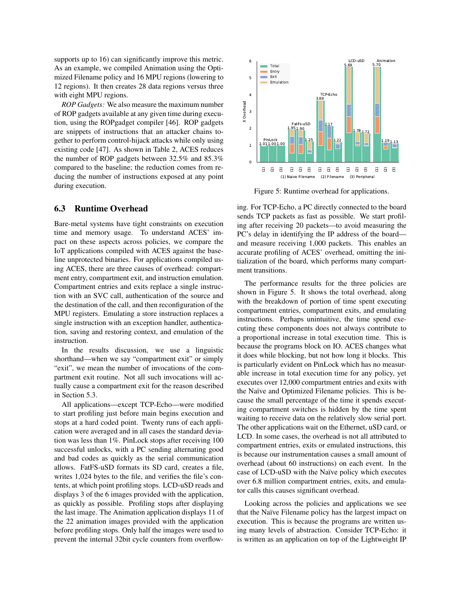supports up to 16) can significantly improve this metric. As an example, we compiled Animation using the Optimized Filename policy and 16 MPU regions (lowering to 12 regions). It then creates 28 data regions versus three with eight MPU regions.

*ROP Gadgets:* We also measure the maximum number of ROP gadgets available at any given time during execution, using the ROPgadget compiler [\[46\]](#page-17-6). ROP gadgets are snippets of instructions that an attacker chains together to perform control-hijack attacks while only using existing code [\[47\]](#page-17-2). As shown in [Table 2,](#page-10-0) ACES reduces the number of ROP gadgets between 32.5% and 85.3% compared to the baseline; the reduction comes from reducing the number of instructions exposed at any point during execution.

#### <span id="page-11-1"></span>6.3 Runtime Overhead

Bare-metal systems have tight constraints on execution time and memory usage. To understand ACES' impact on these aspects across policies, we compare the IoT applications compiled with ACES against the baseline unprotected binaries. For applications compiled using ACES, there are three causes of overhead: compartment entry, compartment exit, and instruction emulation. Compartment entries and exits replace a single instruction with an SVC call, authentication of the source and the destination of the call, and then reconfiguration of the MPU registers. Emulating a store instruction replaces a single instruction with an exception handler, authentication, saving and restoring context, and emulation of the instruction.

In the results discussion, we use a linguistic shorthand—when we say "compartment exit" or simply "exit", we mean the number of invocations of the compartment exit routine. Not all such invocations will actually cause a compartment exit for the reason described in [Section 5.3.](#page-7-0)

All applications—except TCP-Echo—were modified to start profiling just before main begins execution and stops at a hard coded point. Twenty runs of each application were averaged and in all cases the standard deviation was less than 1%. PinLock stops after receiving 100 successful unlocks, with a PC sending alternating good and bad codes as quickly as the serial communication allows. FatFS-uSD formats its SD card, creates a file, writes 1,024 bytes to the file, and verifies the file's contents, at which point profiling stops. LCD-uSD reads and displays 3 of the 6 images provided with the application, as quickly as possible. Profiling stops after displaying the last image. The Animation application displays 11 of the 22 animation images provided with the application before profiling stops. Only half the images were used to prevent the internal 32bit cycle counters from overflow-



<span id="page-11-0"></span>Figure 5: Runtime overhead for applications.

ing. For TCP-Echo, a PC directly connected to the board sends TCP packets as fast as possible. We start profiling after receiving 20 packets—to avoid measuring the PC's delay in identifying the IP address of the board and measure receiving 1,000 packets. This enables an accurate profiling of ACES' overhead, omitting the initialization of the board, which performs many compartment transitions.

The performance results for the three policies are shown in [Figure 5.](#page-11-0) It shows the total overhead, along with the breakdown of portion of time spent executing compartment entries, compartment exits, and emulating instructions. Perhaps unintuitive, the time spend executing these components does not always contribute to a proportional increase in total execution time. This is because the programs block on IO. ACES changes what it does while blocking, but not how long it blocks. This is particularly evident on PinLock which has no measurable increase in total execution time for any policy, yet executes over 12,000 compartment entries and exits with the Naïve and Optimized Filename policies. This is because the small percentage of the time it spends executing compartment switches is hidden by the time spent waiting to receive data on the relatively slow serial port. The other applications wait on the Ethernet, uSD card, or LCD. In some cases, the overhead is not all attributed to compartment entries, exits or emulated instructions, this is because our instrumentation causes a small amount of overhead (about 60 instructions) on each event. In the case of LCD-uSD with the Naïve policy which executes over 6.8 million compartment entries, exits, and emulator calls this causes significant overhead.

Looking across the policies and applications we see that the Naïve Filename policy has the largest impact on execution. This is because the programs are written using many levels of abstraction. Consider TCP-Echo: it is written as an application on top of the Lightweight IP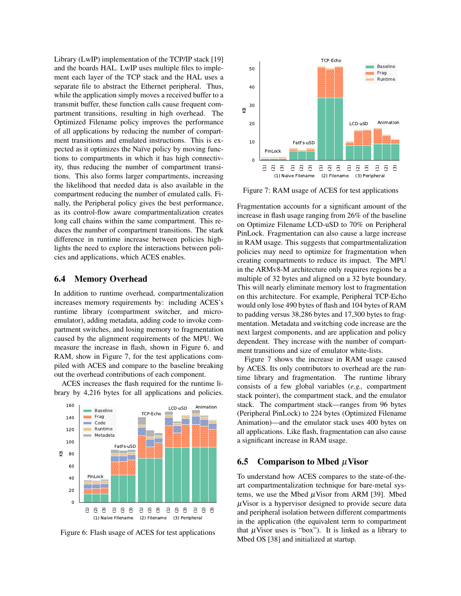Library (LwIP) implementation of the TCP/IP stack [\[19\]](#page-15-11) and the boards HAL. LwIP uses multiple files to implement each layer of the TCP stack and the HAL uses a separate file to abstract the Ethernet peripheral. Thus, while the application simply moves a received buffer to a transmit buffer, these function calls cause frequent compartment transitions, resulting in high overhead. The Optimized Filename policy improves the performance of all applications by reducing the number of compartment transitions and emulated instructions. This is expected as it optimizes the Naïve policy by moving functions to compartments in which it has high connectivity, thus reducing the number of compartment transitions. This also forms larger compartments, increasing the likelihood that needed data is also available in the compartment reducing the number of emulated calls. Finally, the Peripheral policy gives the best performance, as its control-flow aware compartmentalization creates long call chains within the same compartment. This reduces the number of compartment transitions. The stark difference in runtime increase between policies highlights the need to explore the interactions between policies and applications, which ACES enables.

#### 6.4 Memory Overhead

In addition to runtime overhead, compartmentalization increases memory requirements by: including ACES's runtime library (compartment switcher, and microemulator), adding metadata, adding code to invoke compartment switches, and losing memory to fragmentation caused by the alignment requirements of the MPU. We measure the increase in flash, shown in [Figure 6,](#page-12-0) and RAM, show in [Figure 7,](#page-12-1) for the test applications compiled with ACES and compare to the baseline breaking out the overhead contributions of each component.

ACES increases the flash required for the runtime library by 4,216 bytes for all applications and policies.



<span id="page-12-0"></span>Figure 6: Flash usage of ACES for test applications



<span id="page-12-1"></span>Figure 7: RAM usage of ACES for test applications

Fragmentation accounts for a significant amount of the increase in flash usage ranging from 26% of the baseline on Optimize Filename LCD-uSD to 70% on Peripheral PinLock. Fragmentation can also cause a large increase in RAM usage. This suggests that compartmentalization policies may need to optimize for fragmentation when creating compartments to reduce its impact. The MPU in the ARMv8-M architecture only requires regions be a multiple of 32 bytes and aligned on a 32 byte boundary. This will nearly eliminate memory lost to fragmentation on this architecture. For example, Peripheral TCP-Echo would only lose 490 bytes of flash and 104 bytes of RAM to padding versus 38,286 bytes and 17,300 bytes to fragmentation. Metadata and switching code increase are the next largest components, and are application and policy dependent. They increase with the number of compartment transitions and size of emulator white-lists.

[Figure 7](#page-12-1) shows the increase in RAM usage caused by ACES. Its only contributors to overhead are the runtime library and fragmentation. The runtime library consists of a few global variables (*e.g.,* compartment stack pointer), the compartment stack, and the emulator stack. The compartment stack—ranges from 96 bytes (Peripheral PinLock) to 224 bytes (Optimized Filename Animation)—and the emulator stack uses 400 bytes on all applications. Like flash, fragmentation can also cause a significant increase in RAM usage.

#### 6.5 Comparison to Mbed  $\mu$  Visor

To understand how ACES compares to the state-of-theart compartmentalization technique for bare-metal systems, we use the Mbed  $\mu$ Visor from ARM [\[39\]](#page-16-3). Mbed  $\mu$ Visor is a hypervisor designed to provide secure data and peripheral isolation between different compartments in the application (the equivalent term to compartment that  $\mu$ Visor uses is "box"). It is linked as a library to Mbed OS [\[38\]](#page-16-8) and initialized at startup.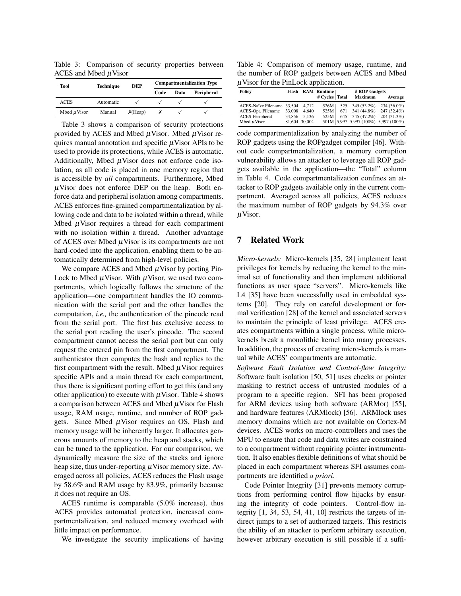<span id="page-13-0"></span>Table 3: Comparison of security properties between ACES and Mbed  $\mu$ Visor

| Tool             | <b>Technique</b> | <b>DEP</b> | <b>Compartmentalization Type</b> |      |            |  |
|------------------|------------------|------------|----------------------------------|------|------------|--|
|                  |                  |            | Code                             | Data | Peripheral |  |
| ACES             | Automatic        |            |                                  |      |            |  |
| Mbed $\mu$ Visor | Manual           | $X$ (Heap) |                                  |      |            |  |

[Table 3](#page-13-0) shows a comparison of security protections provided by ACES and Mbed  $\mu$ Visor. Mbed  $\mu$ Visor requires manual annotation and specific  $\mu$ Visor APIs to be used to provide its protections, while ACES is automatic. Additionally, Mbed  $\mu$ Visor does not enforce code isolation, as all code is placed in one memory region that is accessible by *all* compartments. Furthermore, Mbed  $\mu$ Visor does not enforce DEP on the heap. Both enforce data and peripheral isolation among compartments. ACES enforces fine-grained compartmentalization by allowing code and data to be isolated within a thread, while Mbed  $\mu$ Visor requires a thread for each compartment with no isolation within a thread. Another advantage of ACES over Mbed  $\mu$ Visor is its compartments are not hard-coded into the application, enabling them to be automatically determined from high-level policies.

We compare ACES and Mbed  $\mu$ Visor by porting Pin-Lock to Mbed  $\mu$ Visor. With  $\mu$ Visor, we used two compartments, which logically follows the structure of the application—one compartment handles the IO communication with the serial port and the other handles the computation, *i.e.,* the authentication of the pincode read from the serial port. The first has exclusive access to the serial port reading the user's pincode. The second compartment cannot access the serial port but can only request the entered pin from the first compartment. The authenticator then computes the hash and replies to the first compartment with the result. Mbed  $\mu$ Visor requires specific APIs and a main thread for each compartment, thus there is significant porting effort to get this (and any other application) to execute with  $\mu$ Visor. [Table 4](#page-13-1) shows a comparison between ACES and Mbed  $\mu$  Visor for Flash usage, RAM usage, runtime, and number of ROP gadgets. Since Mbed  $\mu$ Visor requires an OS, Flash and memory usage will be inherently larger. It allocates generous amounts of memory to the heap and stacks, which can be tuned to the application. For our comparison, we dynamically measure the size of the stacks and ignore heap size, thus under-reporting  $\mu$ Visor memory size. Averaged across all policies, ACES reduces the Flash usage by 58.6% and RAM usage by 83.9%, primarily because it does not require an OS.

ACES runtime is comparable (5.0% increase), thus ACES provides automated protection, increased compartmentalization, and reduced memory overhead with little impact on performance.

We investigate the security implications of having

<span id="page-13-1"></span>Table 4: Comparison of memory usage, runtime, and the number of ROP gadgets between ACES and Mbed  $\mu$ Visor for the PinLock application.

| Policy                           |                       | Flash RAM Runtime |  | # ROP Gadgets                        |         |
|----------------------------------|-----------------------|-------------------|--|--------------------------------------|---------|
|                                  |                       | # Cycles   Total  |  | Maximum                              | Average |
| ACES-Naïve Filename 33,504 4,712 |                       |                   |  | 526M   525 345 (53.2%) 234 (36.0%)   |         |
| ACES-Opt. Filename               | $ 33,008 \quad 4,640$ |                   |  | $525M$ 671 341 (44.8%) 247 (32.4%)   |         |
| ACES-Peripheral                  | 34,856 5,136          |                   |  | $525M$ 645 345 (47.2%) 204 (31.3%)   |         |
| Mbed $\mu$ Visor                 | 81,604 30,004         |                   |  | 501M 5.997 5.997 (100%) 5.997 (100%) |         |

code compartmentalization by analyzing the number of ROP gadgets using the ROPgadget compiler [\[46\]](#page-17-6). Without code compartmentalization, a memory corruption vulnerability allows an attacker to leverage all ROP gadgets available in the application—the "Total" column in [Table 4.](#page-13-1) Code compartmentalization confines an attacker to ROP gadgets available only in the current compartment. Averaged across all policies, ACES reduces the maximum number of ROP gadgets by 94.3% over µVisor.

### 7 Related Work

*Micro-kernels:* Micro-kernels [\[35,](#page-16-9) [28\]](#page-16-10) implement least privileges for kernels by reducing the kernel to the minimal set of functionality and then implement additional functions as user space "servers". Micro-kernels like L4 [\[35\]](#page-16-9) have been successfully used in embedded systems [\[20\]](#page-16-11). They rely on careful development or formal verification [\[28\]](#page-16-10) of the kernel and associated servers to maintain the principle of least privilege. ACES creates compartments within a single process, while microkernels break a monolithic kernel into many processes. In addition, the process of creating micro-kernels is manual while ACES' compartments are automatic.

*Software Fault Isolation and Control-flow Integrity:* Software fault isolation [\[50,](#page-17-7) [51\]](#page-17-8) uses checks or pointer masking to restrict access of untrusted modules of a program to a specific region. SFI has been proposed for ARM devices using both software (ARMor) [\[55\]](#page-17-9), and hardware features (ARMlock) [\[56\]](#page-17-10). ARMlock uses memory domains which are not available on Cortex-M devices. ACES works on micro-controllers and uses the MPU to ensure that code and data writes are constrained to a compartment without requiring pointer instrumentation. It also enables flexible definitions of what should be placed in each compartment whereas SFI assumes compartments are identified *a priori*.

Code Pointer Integrity [\[31\]](#page-16-12) prevents memory corruptions from performing control flow hijacks by ensuring the integrity of code pointers. Control-flow integrity [\[1,](#page-15-12) [34,](#page-16-13) [53,](#page-17-11) [54,](#page-17-12) [41,](#page-16-14) [10\]](#page-15-13) restricts the targets of indirect jumps to a set of authorized targets. This restricts the ability of an attacker to perform arbitrary execution, however arbitrary execution is still possible if a suffi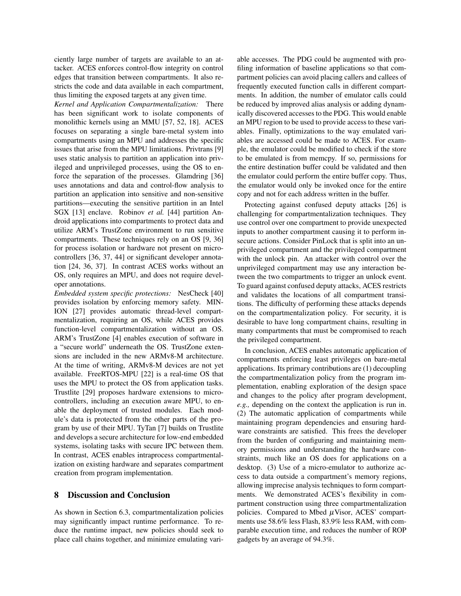ciently large number of targets are available to an attacker. ACES enforces control-flow integrity on control edges that transition between compartments. It also restricts the code and data available in each compartment, thus limiting the exposed targets at any given time.

*Kernel and Application Compartmentalization:* There has been significant work to isolate components of monolithic kernels using an MMU [\[57,](#page-17-13) [52,](#page-17-14) [18\]](#page-15-14). ACES focuses on separating a single bare-metal system into compartments using an MPU and addresses the specific issues that arise from the MPU limitations. Privtrans [\[9\]](#page-15-15) uses static analysis to partition an application into privileged and unprivileged processes, using the OS to enforce the separation of the processes. Glamdring [\[36\]](#page-16-15) uses annotations and data and control-flow analysis to partition an application into sensitive and non-sensitive partitions—executing the sensitive partition in an Intel SGX [\[13\]](#page-15-16) enclave. Robinov *et al.* [\[44\]](#page-17-15) partition Android applications into compartments to protect data and utilize ARM's TrustZone environment to run sensitive compartments. These techniques rely on an OS [\[9,](#page-15-15) [36\]](#page-16-15) for process isolation or hardware not present on microcontrollers [\[36,](#page-16-15) [37,](#page-16-16) [44\]](#page-17-15) or significant developer annotation [\[24,](#page-16-17) [36,](#page-16-15) [37\]](#page-16-16). In contrast ACES works without an OS, only requires an MPU, and does not require developer annotations.

*Embedded system specific protections:* NesCheck [\[40\]](#page-16-18) provides isolation by enforcing memory safety. MIN-ION [\[27\]](#page-16-2) provides automatic thread-level compartmentalization, requiring an OS, while ACES provides function-level compartmentalization without an OS. ARM's TrustZone [\[4\]](#page-15-17) enables execution of software in a "secure world" underneath the OS. TrustZone extensions are included in the new ARMv8-M architecture. At the time of writing, ARMv8-M devices are not yet available. FreeRTOS-MPU [\[22\]](#page-16-19) is a real-time OS that uses the MPU to protect the OS from application tasks. Trustlite [\[29\]](#page-16-20) proposes hardware extensions to microcontrollers, including an execution aware MPU, to enable the deployment of trusted modules. Each module's data is protected from the other parts of the program by use of their MPU. TyTan [\[7\]](#page-15-18) builds on Trustlite and develops a secure architecture for low-end embedded systems, isolating tasks with secure IPC between them. In contrast, ACES enables intraprocess compartmentalization on existing hardware and separates compartment creation from program implementation.

#### 8 Discussion and Conclusion

As shown in [Section 6.3,](#page-11-1) compartmentalization policies may significantly impact runtime performance. To reduce the runtime impact, new policies should seek to place call chains together, and minimize emulating variable accesses. The PDG could be augmented with profiling information of baseline applications so that compartment policies can avoid placing callers and callees of frequently executed function calls in different compartments. In addition, the number of emulator calls could be reduced by improved alias analysis or adding dynamically discovered accesses to the PDG. This would enable an MPU region to be used to provide access to these variables. Finally, optimizations to the way emulated variables are accessed could be made to ACES. For example, the emulator could be modified to check if the store to be emulated is from memcpy. If so, permissions for the entire destination buffer could be validated and then the emulator could perform the entire buffer copy. Thus, the emulator would only be invoked once for the entire copy and not for each address written in the buffer.

Protecting against confused deputy attacks [\[26\]](#page-16-21) is challenging for compartmentalization techniques. They use control over one compartment to provide unexpected inputs to another compartment causing it to perform insecure actions. Consider PinLock that is split into an unprivileged compartment and the privileged compartment with the unlock pin. An attacker with control over the unprivileged compartment may use any interaction between the two compartments to trigger an unlock event. To guard against confused deputy attacks, ACES restricts and validates the locations of all compartment transitions. The difficulty of performing these attacks depends on the compartmentalization policy. For security, it is desirable to have long compartment chains, resulting in many compartments that must be compromised to reach the privileged compartment.

In conclusion, ACES enables automatic application of compartments enforcing least privileges on bare-metal applications. Its primary contributions are (1) decoupling the compartmentalization policy from the program implementation, enabling exploration of the design space and changes to the policy after program development, *e.g.,* depending on the context the application is run in. (2) The automatic application of compartments while maintaining program dependencies and ensuring hardware constraints are satisfied. This frees the developer from the burden of configuring and maintaining memory permissions and understanding the hardware constraints, much like an OS does for applications on a desktop. (3) Use of a micro-emulator to authorize access to data outside a compartment's memory regions, allowing imprecise analysis techniques to form compartments. We demonstrated ACES's flexibility in compartment construction using three compartmentalization policies. Compared to Mbed  $\mu$ Visor, ACES' compartments use 58.6% less Flash, 83.9% less RAM, with comparable execution time, and reduces the number of ROP gadgets by an average of 94.3%.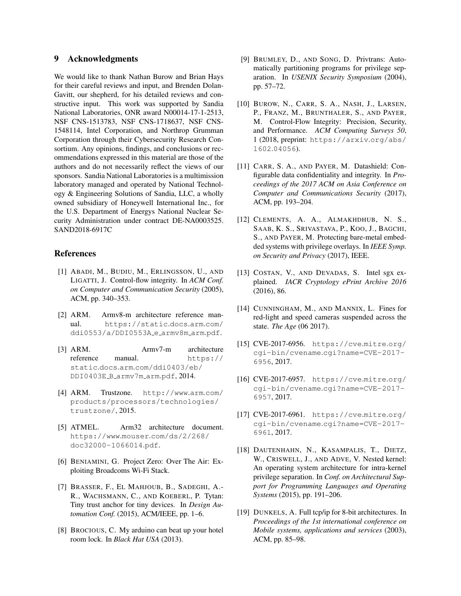# 9 Acknowledgments

We would like to thank Nathan Burow and Brian Hays for their careful reviews and input, and Brenden Dolan-Gavitt, our shepherd, for his detailed reviews and constructive input. This work was supported by Sandia National Laboratories, ONR award N00014-17-1-2513, NSF CNS-1513783, NSF CNS-1718637, NSF CNS-1548114, Intel Corporation, and Northrop Grumman Corporation through their Cybersecurity Research Consortium. Any opinions, findings, and conclusions or recommendations expressed in this material are those of the authors and do not necessarily reflect the views of our sponsors. Sandia National Laboratories is a multimission laboratory managed and operated by National Technology & Engineering Solutions of Sandia, LLC, a wholly owned subsidiary of Honeywell International Inc., for the U.S. Department of Energys National Nuclear Security Administration under contract DE-NA0003525. SAND2018-6917C

### References

- <span id="page-15-12"></span>[1] ABADI, M., BUDIU, M., ERLINGSSON, U., AND LIGATTI, J. Control-flow integrity. In *ACM Conf. on Computer and Communication Security* (2005), ACM, pp. 340–353.
- <span id="page-15-9"></span>[2] ARM. Armv8-m architecture reference manual. [https://static](https://static.docs.arm.com/ddi0553/a/DDI0553A_e_armv8m_arm.pdf).docs.arm.com/ [ddi0553/a/DDI0553A](https://static.docs.arm.com/ddi0553/a/DDI0553A_e_armv8m_arm.pdf) e armv8m arm.pdf.
- <span id="page-15-8"></span>[3] ARM. Armv7-m architecture reference manual. [https://](https://static.docs.arm.com/ddi0403/eb/DDI0403E_B_armv7m_arm.pdf) static.docs.arm.[com/ddi0403/eb/](https://static.docs.arm.com/ddi0403/eb/DDI0403E_B_armv7m_arm.pdf) [DDI0403E](https://static.docs.arm.com/ddi0403/eb/DDI0403E_B_armv7m_arm.pdf) B armv7m arm.pdf, 2014.
- <span id="page-15-17"></span>[4] ARM. Trustzone. [http://www](http://www.arm.com/products/processors/technologies/trustzone/).arm.com/ [products/processors/technologies/](http://www.arm.com/products/processors/technologies/trustzone/) [trustzone/](http://www.arm.com/products/processors/technologies/trustzone/), 2015.
- <span id="page-15-10"></span>[5] ATMEL. Arm32 architecture document. https://www.mouser.[com/ds/2/268/](https://www.mouser.com/ds/2/268/doc32000-1066014.pdf) [doc32000-1066014](https://www.mouser.com/ds/2/268/doc32000-1066014.pdf).pdf.
- <span id="page-15-2"></span>[6] BENIAMINI, G. Project Zero: Over The Air: Exploiting Broadcoms Wi-Fi Stack.
- <span id="page-15-18"></span>[7] BRASSER, F., EL MAHJOUB, B., SADEGHI, A.- R., WACHSMANN, C., AND KOEBERL, P. Tytan: Tiny trust anchor for tiny devices. In *Design Automation Conf.* (2015), ACM/IEEE, pp. 1–6.
- <span id="page-15-1"></span>[8] BROCIOUS, C. My arduino can beat up your hotel room lock. In *Black Hat USA* (2013).
- <span id="page-15-15"></span>[9] BRUMLEY, D., AND SONG, D. Privtrans: Automatically partitioning programs for privilege separation. In *USENIX Security Symposium* (2004), pp. 57–72.
- <span id="page-15-13"></span>[10] BUROW, N., CARR, S. A., NASH, J., LARSEN, P., FRANZ, M., BRUNTHALER, S., AND PAYER, M. Control-Flow Integrity: Precision, Security, and Performance. *ACM Computing Surveys 50*, 1 (2018, preprint: [https://arxiv](https://arxiv.org/abs/1602.04056).org/abs/ 1602.[04056](https://arxiv.org/abs/1602.04056)).
- <span id="page-15-7"></span>[11] CARR, S. A., AND PAYER, M. Datashield: Configurable data confidentiality and integrity. In *Proceedings of the 2017 ACM on Asia Conference on Computer and Communications Security* (2017), ACM, pp. 193–204.
- <span id="page-15-6"></span>[12] CLEMENTS, A. A., ALMAKHDHUB, N. S., SAAB, K. S., SRIVASTAVA, P., KOO, J., BAGCHI, S., AND PAYER, M. Protecting bare-metal embedded systems with privilege overlays. In *IEEE Symp. on Security and Privacy* (2017), IEEE.
- <span id="page-15-16"></span>[13] COSTAN, V., AND DEVADAS, S. Intel sgx explained. *IACR Cryptology ePrint Archive 2016* (2016), 86.
- <span id="page-15-0"></span>[14] CUNNINGHAM, M., AND MANNIX, L. Fines for red-light and speed cameras suspended across the state. *The Age* (06 2017).
- <span id="page-15-4"></span>[15] CVE-2017-6956. [https://cve](https://cve.mitre.org/cgi-bin/cvename.cgi?name=CVE-2017-6956).mitre.org/ cgi-bin/cvename.[cgi?name=CVE-2017-](https://cve.mitre.org/cgi-bin/cvename.cgi?name=CVE-2017-6956) [6956](https://cve.mitre.org/cgi-bin/cvename.cgi?name=CVE-2017-6956), 2017.
- <span id="page-15-3"></span>[16] CVE-2017-6957. [https://cve](https://cve.mitre.org/cgi-bin/cvename.cgi?name=CVE-2017-6957).mitre.org/ cgi-bin/cvename.[cgi?name=CVE-2017-](https://cve.mitre.org/cgi-bin/cvename.cgi?name=CVE-2017-6957) [6957](https://cve.mitre.org/cgi-bin/cvename.cgi?name=CVE-2017-6957), 2017.
- <span id="page-15-5"></span>[17] CVE-2017-6961. [https://cve](https://cve.mitre.org/cgi-bin/cvename.cgi?name=CVE-2017-6961).mitre.org/ cgi-bin/cvename.[cgi?name=CVE-2017-](https://cve.mitre.org/cgi-bin/cvename.cgi?name=CVE-2017-6961) [6961](https://cve.mitre.org/cgi-bin/cvename.cgi?name=CVE-2017-6961), 2017.
- <span id="page-15-14"></span>[18] DAUTENHAHN, N., KASAMPALIS, T., DIETZ, W., CRISWELL, J., AND ADVE, V. Nested kernel: An operating system architecture for intra-kernel privilege separation. In *Conf. on Architectural Support for Programming Languages and Operating Systems* (2015), pp. 191–206.
- <span id="page-15-11"></span>[19] DUNKELS, A. Full tcp/ip for 8-bit architectures. In *Proceedings of the 1st international conference on Mobile systems, applications and services* (2003), ACM, pp. 85–98.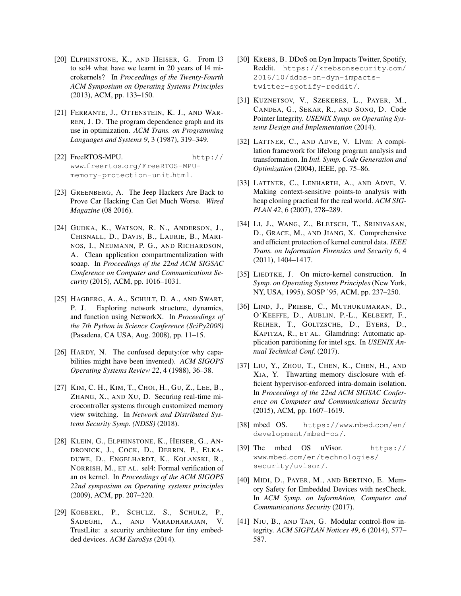- <span id="page-16-11"></span>[20] ELPHINSTONE, K., AND HEISER, G. From l3 to sel4 what have we learnt in 20 years of l4 microkernels? In *Proceedings of the Twenty-Fourth ACM Symposium on Operating Systems Principles* (2013), ACM, pp. 133–150.
- <span id="page-16-4"></span>[21] FERRANTE, J., OTTENSTEIN, K. J., AND WAR-REN, J. D. The program dependence graph and its use in optimization. *ACM Trans. on Programming Languages and Systems 9*, 3 (1987), 319–349.
- <span id="page-16-19"></span>[22] FreeRTOS-MPU. [http://](http://www.freertos.org/FreeRTOS-MPU-memory-protection-unit.html) www.freertos.[org/FreeRTOS-MPU](http://www.freertos.org/FreeRTOS-MPU-memory-protection-unit.html)[memory-protection-unit](http://www.freertos.org/FreeRTOS-MPU-memory-protection-unit.html).html.
- <span id="page-16-1"></span>[23] GREENBERG, A. The Jeep Hackers Are Back to Prove Car Hacking Can Get Much Worse. *Wired Magazine* (08 2016).
- <span id="page-16-17"></span>[24] GUDKA, K., WATSON, R. N., ANDERSON, J., CHISNALL, D., DAVIS, B., LAURIE, B., MARI-NOS, I., NEUMANN, P. G., AND RICHARDSON, A. Clean application compartmentalization with soaap. In *Proceedings of the 22nd ACM SIGSAC Conference on Computer and Communications Security* (2015), ACM, pp. 1016–1031.
- <span id="page-16-7"></span>[25] HAGBERG, A. A., SCHULT, D. A., AND SWART, P. J. Exploring network structure, dynamics, and function using NetworkX. In *Proceedings of the 7th Python in Science Conference (SciPy2008)* (Pasadena, CA USA, Aug. 2008), pp. 11–15.
- <span id="page-16-21"></span>[26] HARDY, N. The confused deputy:(or why capabilities might have been invented). *ACM SIGOPS Operating Systems Review 22*, 4 (1988), 36–38.
- <span id="page-16-2"></span>[27] KIM, C. H., KIM, T., CHOI, H., GU, Z., LEE, B., ZHANG, X., AND XU, D. Securing real-time microcontroller systems through customized memory view switching. In *Network and Distributed Systems Security Symp. (NDSS)* (2018).
- <span id="page-16-10"></span>[28] KLEIN, G., ELPHINSTONE, K., HEISER, G., AN-DRONICK, J., COCK, D., DERRIN, P., ELKA-DUWE, D., ENGELHARDT, K., KOLANSKI, R., NORRISH, M., ET AL. sel4: Formal verification of an os kernel. In *Proceedings of the ACM SIGOPS 22nd symposium on Operating systems principles* (2009), ACM, pp. 207–220.
- <span id="page-16-20"></span>[29] KOEBERL, P., SCHULZ, S., SCHULZ, P., SADEGHI, A., AND VARADHARAJAN, V. TrustLite: a security architecture for tiny embedded devices. *ACM EuroSys* (2014).
- <span id="page-16-0"></span>[30] KREBS, B. DDoS on Dyn Impacts Twitter, Spotify, Reddit. [https://krebsonsecurity](https://krebsonsecurity.com/2016/10/ddos-on-dyn-impacts-twitter-spotify-reddit/).com/ [2016/10/ddos-on-dyn-impacts](https://krebsonsecurity.com/2016/10/ddos-on-dyn-impacts-twitter-spotify-reddit/)[twitter-spotify-reddit/](https://krebsonsecurity.com/2016/10/ddos-on-dyn-impacts-twitter-spotify-reddit/).
- <span id="page-16-12"></span>[31] KUZNETSOV, V., SZEKERES, L., PAYER, M., CANDEA, G., SEKAR, R., AND SONG, D. Code Pointer Integrity. *USENIX Symp. on Operating Systems Design and Implementation* (2014).
- <span id="page-16-6"></span>[32] LATTNER, C., AND ADVE, V. Llvm: A compilation framework for lifelong program analysis and transformation. In *Intl. Symp. Code Generation and Optimization* (2004), IEEE, pp. 75–86.
- <span id="page-16-5"></span>[33] LATTNER, C., LENHARTH, A., AND ADVE, V. Making context-sensitive points-to analysis with heap cloning practical for the real world. *ACM SIG-PLAN 42*, 6 (2007), 278–289.
- <span id="page-16-13"></span>[34] LI, J., WANG, Z., BLETSCH, T., SRINIVASAN, D., GRACE, M., AND JIANG, X. Comprehensive and efficient protection of kernel control data. *IEEE Trans. on Information Forensics and Security 6*, 4 (2011), 1404–1417.
- <span id="page-16-9"></span>[35] LIEDTKE, J. On micro-kernel construction. In *Symp. on Operating Systems Principles* (New York, NY, USA, 1995), SOSP '95, ACM, pp. 237–250.
- <span id="page-16-15"></span>[36] LIND, J., PRIEBE, C., MUTHUKUMARAN, D., O'KEEFFE, D., AUBLIN, P.-L., KELBERT, F., REIHER, T., GOLTZSCHE, D., EYERS, D., KAPITZA, R., ET AL. Glamdring: Automatic application partitioning for intel sgx. In *USENIX Annual Technical Conf.* (2017).
- <span id="page-16-16"></span>[37] LIU, Y., ZHOU, T., CHEN, K., CHEN, H., AND XIA, Y. Thwarting memory disclosure with efficient hypervisor-enforced intra-domain isolation. In *Proceedings of the 22nd ACM SIGSAC Conference on Computer and Communications Security* (2015), ACM, pp. 1607–1619.
- <span id="page-16-8"></span>[38] mbed OS. [https://www](https://www.mbed.com/en/development/mbed-os/).mbed.com/en/ [development/mbed-os/](https://www.mbed.com/en/development/mbed-os/).
- <span id="page-16-3"></span>[39] The mbed OS uVisor. [https://](https://www.mbed.com/en/technologies/security/uvisor/) www.mbed.[com/en/technologies/](https://www.mbed.com/en/technologies/security/uvisor/) [security/uvisor/](https://www.mbed.com/en/technologies/security/uvisor/).
- <span id="page-16-18"></span>[40] MIDI, D., PAYER, M., AND BERTINO, E. Memory Safety for Embedded Devices with nesCheck. In *ACM Symp. on InformAtion, Computer and Communications Security* (2017).
- <span id="page-16-14"></span>[41] NIU, B., AND TAN, G. Modular control-flow integrity. *ACM SIGPLAN Notices 49*, 6 (2014), 577– 587.